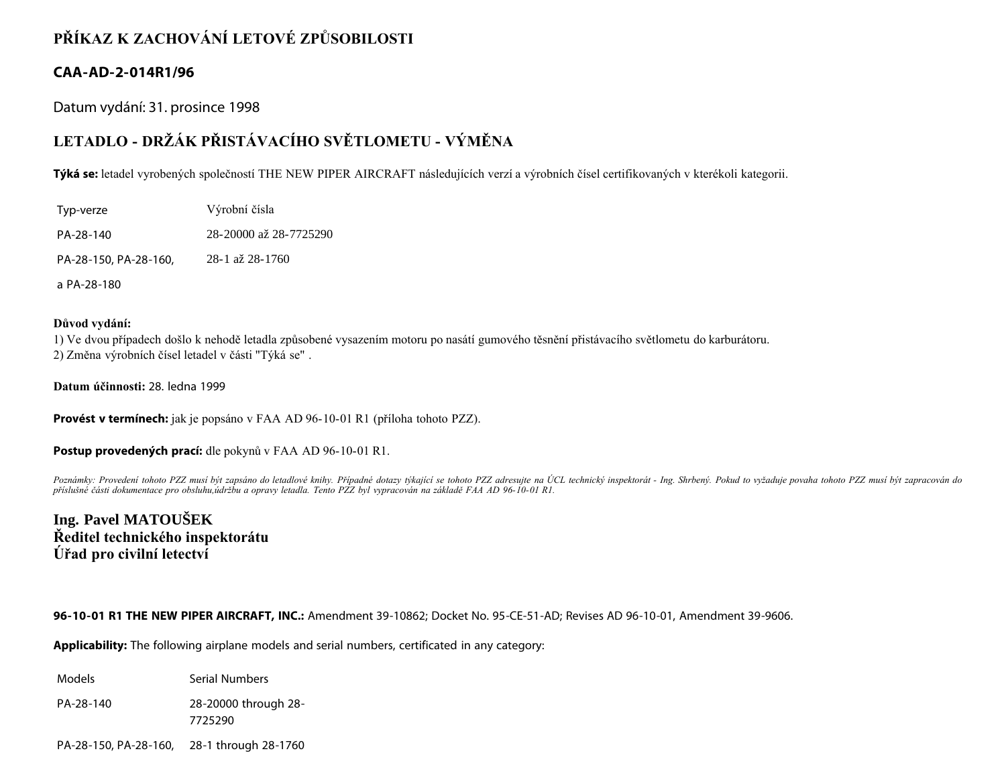## **PŘÍKAZ K ZACHOVÁNÍ LETOVÉ ZPŮSOBILOSTI**

### **CAA-AD-2-014R1/96**

Datum vydání: 31. prosince 1998

# **LETADLO - DRŽÁK PŘISTÁVACÍHO SVĚTLOMETU - VÝMĚNA**

**Týká se:** letadel vyrobených společností THE NEW PIPER AIRCRAFT následujících verzí a výrobních čísel certifikovaných v kterékoli kategorii.

| Typ-verze             | Výrobní čísla          |
|-----------------------|------------------------|
| PA-28-140             | 28-20000 až 28-7725290 |
| PA-28-150, PA-28-160, | 28-1 až 28-1760        |
| a PA-28-180           |                        |

#### **Důvod vydání:**

1) Ve dvou případech došlo k nehodě letadla způsobené vysazením motoru po nasátí gumového těsnění přistávacího světlometu do karburátoru. 2) Změna výrobních čísel letadel v části "Týká se" .

**Datum účinnosti:** 28. ledna 1999

**Provést v termínech:** jak je popsáno v FAA AD 96-10-01 R1 (příloha tohoto PZZ).

**Postup provedených prací:** dle pokynů v FAA AD 96-10-01 R1.

Poznámky: Provedení tohoto PZZ musí být zapsáno do letadlové knihy. Případné dotazy týkající se tohoto PZZ adresujte na ÚCL technický inspektorát - Ing. Shrbený. Pokud to vyžaduje povaha tohoto PZZ musí být zapracován do *příslušné části dokumentace pro obsluhu,údržbu a opravy letadla. Tento PZZ byl vypracován na základě FAA AD 96-10-01 R1.*

## **Ing. Pavel MATOUŠEK Ředitel technického inspektorátu Úřad pro civilní letectví**

**96-10-01 R1 THE NEW PIPER AIRCRAFT, INC.:** Amendment 39-10862; Docket No. 95-CE-51-AD; Revises AD 96-10-01, Amendment 39-9606.

**Applicability:** The following airplane models and serial numbers, certificated in any category:

Models **Serial Numbers** 

PA-28-140 28-20000 through 28-

7725290

PA-28-150, PA-28-160, 28-1 through 28-1760